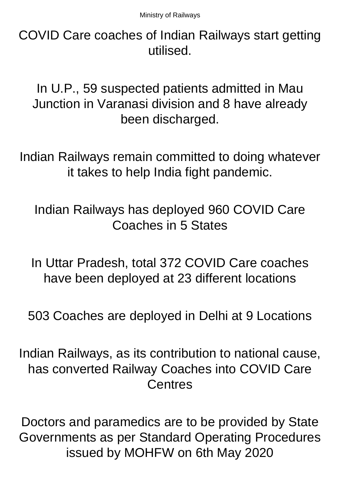COVID Care coaches of Indian Railways start getting utilised.

In U.P., 59 suspected patients admitted in Mau Junction in Varanasi division and 8 have already been discharged.

Indian Railways remain committed to doing whatever it takes to help India fight pandemic.

Indian Railways has deployed 960 COVID Care Coaches in 5 States

In Uttar Pradesh, total 372 COVID Care coaches have been deployed at 23 different locations

503 Coaches are deployed in Delhi at 9 Locations

Indian Railways, as its contribution to national cause, has converted Railway Coaches into COVID Care Centres

Doctors and paramedics are to be provided by State Governments as per Standard Operating Procedures issued by MOHFW on 6th May 2020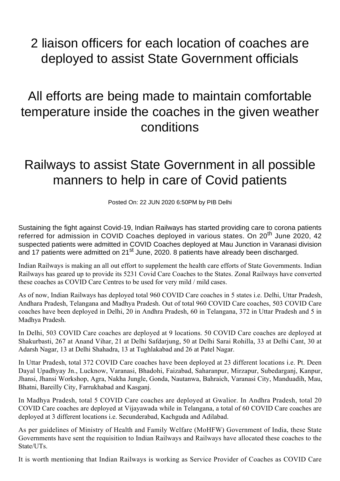## 2 liaison officers for each location of coaches are deployed to assist State Government officials

## All efforts are being made to maintain comfortable temperature inside the coaches in the given weather conditions

## Railways to assist State Government in all possible manners to help in care of Covid patients

Posted On: 22 JUN 2020 6:50PM by PIB Delhi

Sustaining the fight against Covid-19, Indian Railways has started providing care to corona patients referred for admission in COVID Coaches deployed in various states. On 20<sup>th</sup> June 2020, 42 suspected patients were admitted in COVID Coaches deployed at Mau Junction in Varanasi division and 17 patients were admitted on 21<sup>st</sup> June, 2020. 8 patients have already been discharged.

Indian Railways is making an all out effort to supplement the health care efforts of State Governments. Indian Railways has geared up to provide its 5231 Covid Care Coaches to the States. Zonal Railways have converted these coaches as COVID Care Centres to be used for very mild / mild cases.

As of now, Indian Railways has deployed total 960 COVID Care coaches in 5 states i.e. Delhi, Uttar Pradesh, Andhara Pradesh, Telangana and Madhya Pradesh. Out of total 960 COVID Care coaches, 503 COVID Care coaches have been deployed in Delhi, 20 in Andhra Pradesh, 60 in Telangana, 372 in Uttar Pradesh and 5 in Madhya Pradesh.

In Delhi, 503 COVID Care coaches are deployed at 9 locations. 50 COVID Care coaches are deployed at Shakurbasti, 267 at Anand Vihar, 21 at Delhi Safdarjung, 50 at Delhi Sarai Rohilla, 33 at Delhi Cant, 30 at Adarsh Nagar, 13 at Delhi Shahadra, 13 at Tughlakabad and 26 at Patel Nagar.

In Uttar Pradesh, total 372 COVID Care coaches have been deployed at 23 different locations i.e. Pt. Deen Dayal Upadhyay Jn., Lucknow, Varanasi, Bhadohi, Faizabad, Saharanpur, Mirzapur, Subedarganj, Kanpur, Jhansi, Jhansi Workshop, Agra, Nakha Jungle, Gonda, Nautanwa, Bahraich, Varanasi City, Manduadih, Mau, Bhatni, Bareilly City, Farrukhabad and Kasganj.

In Madhya Pradesh, total 5 COVID Care coaches are deployed at Gwalior. In Andhra Pradesh, total 20 COVID Care coaches are deployed at Vijayawada while in Telangana, a total of 60 COVID Care coaches are deployed at 3 different locations i.e. Secunderabad, Kachguda and Adilabad.

As per guidelines of Ministry of Health and Family Welfare (MoHFW) Government of India, these State Governments have sent the requisition to Indian Railways and Railways have allocated these coaches to the State/UTs.

It is worth mentioning that Indian Railways is working as Service Provider of Coaches as COVID Care